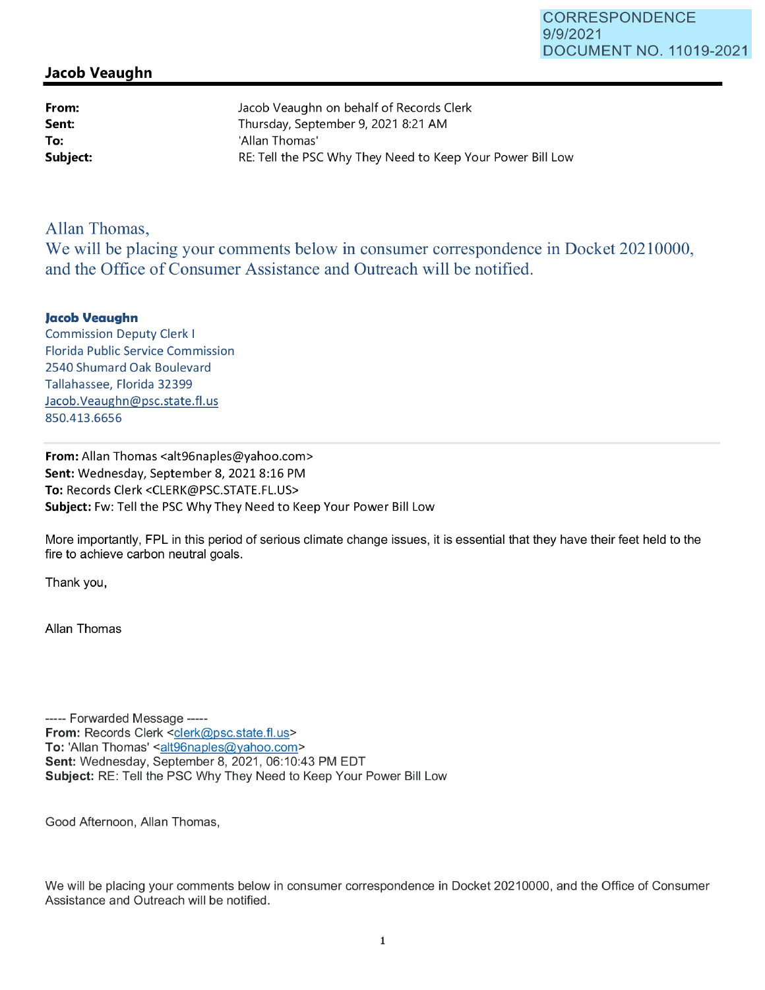## **Jacob Veaughn**

**From: Sent: To:** 

Jacob Veaughn on behalf of Records Clerk Thursday, September 9, 2021 8:21 AM 'Allan Thomas' **Subject: RE:** Tell the PSC Why They Need to Keep Your Power Bill Low

## Allan Thomas,

We will be placing your comments below in consumer correspondence in Docket 20210000, and the Office of Consumer Assistance and Outreach will be notified.

## **Jacob Veaughn**

Commission Deputy Clerk I Florida Public Service Commission 2540 Shumard Oak Boulevard Tallahassee, Florida 32399 Jacob.Veaughn@psc.state.fl.us 850.413.6656

**From:** Allan Thomas <alt96naples@yahoo.com> **Sent:** Wednesday, September 8, 2021 8:16 PM **To:** Records Clerk <CLERK@PSC.STATE.FL.US> **Subject:** Fw: Tell the PSC Why They Need to Keep Your Power Bill Low

More importantly, FPL in this period of serious climate change issues, it is essential that they have their feet held to the fire to achieve carbon neutral goals.

Thank you,

Allan Thomas

----- Forwarded Message -----**From: Records Clerk <clerk@psc.state.fl.us>** To: 'Allan Thomas' <alt96naples@yahoo.com> **Sent:** Wednesday, September 8, 2021, 06:10:43 PM EDT **Subject:** RE: Tell the PSC Why They Need to Keep Your Power Bill Low

Good Afternoon, Allan Thomas,

We will be placing your comments below in consumer correspondence in Docket 20210000, and the Office of Consumer Assistance and Outreach will be notified.